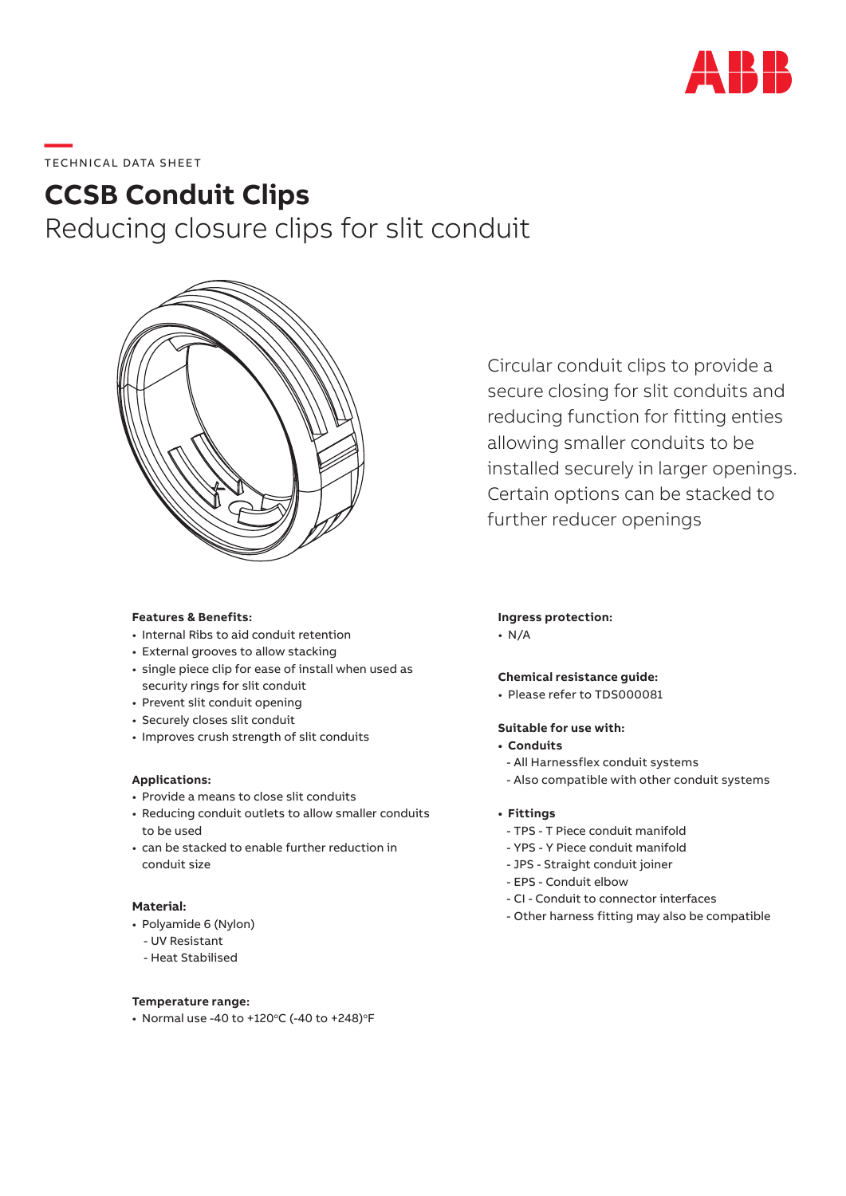

# **—**  TECHNICAL DATA SHEET

# **CCSB Conduit Clips**

Reducing closure clips for slit conduit



**Features & Benefits:**

- Internal Ribs to aid conduit retention
- External grooves to allow stacking
- single piece clip for ease of install when used as security rings for slit conduit
- Prevent slit conduit opening
- Securely closes slit conduit
- Improves crush strength of slit conduits

#### **Applications:**

- Provide a means to close slit conduits
- Reducing conduit outlets to allow smaller conduits to be used
- can be stacked to enable further reduction in conduit size

# **Material:**

- Polyamide 6 (Nylon)
	- UV Resistant
	- Heat Stabilised

**Temperature range:**

• Normal use -40 to +120 $\degree$ C (-40 to +248) $\degree$ F

Circular conduit clips to provide a secure closing for slit conduits and reducing function for fitting enties allowing smaller conduits to be installed securely in larger openings. Certain options can be stacked to further reducer openings

### **Ingress protection:**

• N/A

# **Chemical resistance guide:**

• Please refer to TDS000081

## **Suitable for use with:**

- **• Conduits**
- All Harnessflex conduit systems
- Also compatible with other conduit systems
- **• Fittings**
	- TPS T Piece conduit manifold
	- YPS Y Piece conduit manifold
	- JPS Straight conduit joiner
	- EPS Conduit elbow
	- CI Conduit to connector interfaces
	- Other harness fitting may also be compatible